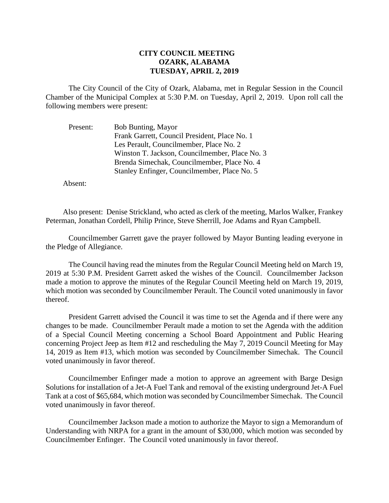## **CITY COUNCIL MEETING OZARK, ALABAMA TUESDAY, APRIL 2, 2019**

The City Council of the City of Ozark, Alabama, met in Regular Session in the Council Chamber of the Municipal Complex at 5:30 P.M. on Tuesday, April 2, 2019. Upon roll call the following members were present:

| Present: | <b>Bob Bunting, Mayor</b>                      |
|----------|------------------------------------------------|
|          | Frank Garrett, Council President, Place No. 1  |
|          | Les Perault, Councilmember, Place No. 2        |
|          | Winston T. Jackson, Councilmember, Place No. 3 |
|          | Brenda Simechak, Councilmember, Place No. 4    |
|          | Stanley Enfinger, Councilmember, Place No. 5   |

Absent:

Also present: Denise Strickland, who acted as clerk of the meeting, Marlos Walker, Frankey Peterman, Jonathan Cordell, Philip Prince, Steve Sherrill, Joe Adams and Ryan Campbell.

Councilmember Garrett gave the prayer followed by Mayor Bunting leading everyone in the Pledge of Allegiance.

The Council having read the minutes from the Regular Council Meeting held on March 19, 2019 at 5:30 P.M. President Garrett asked the wishes of the Council. Councilmember Jackson made a motion to approve the minutes of the Regular Council Meeting held on March 19, 2019, which motion was seconded by Councilmember Perault. The Council voted unanimously in favor thereof.

President Garrett advised the Council it was time to set the Agenda and if there were any changes to be made. Councilmember Perault made a motion to set the Agenda with the addition of a Special Council Meeting concerning a School Board Appointment and Public Hearing concerning Project Jeep as Item #12 and rescheduling the May 7, 2019 Council Meeting for May 14, 2019 as Item #13, which motion was seconded by Councilmember Simechak. The Council voted unanimously in favor thereof.

Councilmember Enfinger made a motion to approve an agreement with Barge Design Solutions for installation of a Jet-A Fuel Tank and removal of the existing underground Jet-A Fuel Tank at a cost of \$65,684, which motion was seconded by Councilmember Simechak. The Council voted unanimously in favor thereof.

Councilmember Jackson made a motion to authorize the Mayor to sign a Memorandum of Understanding with NRPA for a grant in the amount of \$30,000, which motion was seconded by Councilmember Enfinger. The Council voted unanimously in favor thereof.